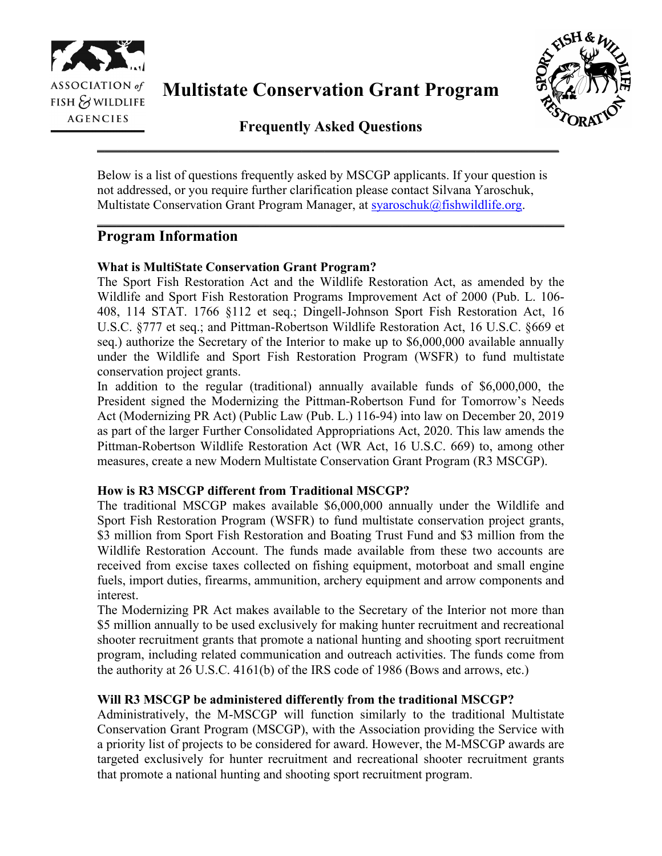

**Multistate Conservation Grant Program**



**Frequently Asked Questions \_\_\_\_\_\_\_\_\_\_\_\_\_\_\_\_\_\_\_\_\_\_\_\_\_\_\_\_\_\_\_\_\_\_\_\_\_\_\_\_\_\_\_\_\_\_\_\_\_\_\_\_\_\_\_\_\_\_\_\_\_**

Below is a list of questions frequently asked by MSCGP applicants. If your question is not addressed, or you require further clarification please contact Silvana Yaroschuk, Multistate Conservation Grant Program Manager, at [syaroschuk@fishwildlife.org.](mailto:syaroschuk@fishwildlife.org)

\_\_\_\_\_\_\_\_\_\_\_\_\_\_\_\_\_\_\_\_\_\_\_\_\_\_\_\_\_\_\_\_\_\_\_\_\_\_\_\_\_\_\_\_\_\_\_\_\_\_\_\_\_\_\_\_\_\_\_\_\_\_\_\_\_\_\_\_\_\_\_\_

# **Program Information**

# **What is MultiState Conservation Grant Program?**

The Sport Fish Restoration Act and the Wildlife Restoration Act, as amended by the Wildlife and Sport Fish Restoration Programs Improvement Act of 2000 (Pub. L. 106- 408, 114 STAT. 1766 §112 et seq.; Dingell-Johnson Sport Fish Restoration Act, 16 U.S.C. §777 et seq.; and Pittman-Robertson Wildlife Restoration Act, 16 U.S.C. §669 et seq.) authorize the Secretary of the Interior to make up to \$6,000,000 available annually under the Wildlife and Sport Fish Restoration Program (WSFR) to fund multistate conservation project grants.

In addition to the regular (traditional) annually available funds of \$6,000,000, the President signed the Modernizing the Pittman-Robertson Fund for Tomorrow's Needs Act (Modernizing PR Act) (Public Law (Pub. L.) 116-94) into law on December 20, 2019 as part of the larger Further Consolidated Appropriations Act, 2020. This law amends the Pittman-Robertson Wildlife Restoration Act (WR Act, 16 U.S.C. 669) to, among other measures, create a new Modern Multistate Conservation Grant Program (R3 MSCGP).

## **How is R3 MSCGP different from Traditional MSCGP?**

The traditional MSCGP makes available \$6,000,000 annually under the Wildlife and Sport Fish Restoration Program (WSFR) to fund multistate conservation project grants, \$3 million from Sport Fish Restoration and Boating Trust Fund and \$3 million from the Wildlife Restoration Account. The funds made available from these two accounts are received from excise taxes collected on fishing equipment, motorboat and small engine fuels, import duties, firearms, ammunition, archery equipment and arrow components and interest.

The Modernizing PR Act makes available to the Secretary of the Interior not more than \$5 million annually to be used exclusively for making hunter recruitment and recreational shooter recruitment grants that promote a national hunting and shooting sport recruitment program, including related communication and outreach activities. The funds come from the authority at 26 U.S.C. 4161(b) of the IRS code of 1986 (Bows and arrows, etc.)

## **Will R3 MSCGP be administered differently from the traditional MSCGP?**

Administratively, the M-MSCGP will function similarly to the traditional Multistate Conservation Grant Program (MSCGP), with the Association providing the Service with a priority list of projects to be considered for award. However, the M-MSCGP awards are targeted exclusively for hunter recruitment and recreational shooter recruitment grants that promote a national hunting and shooting sport recruitment program.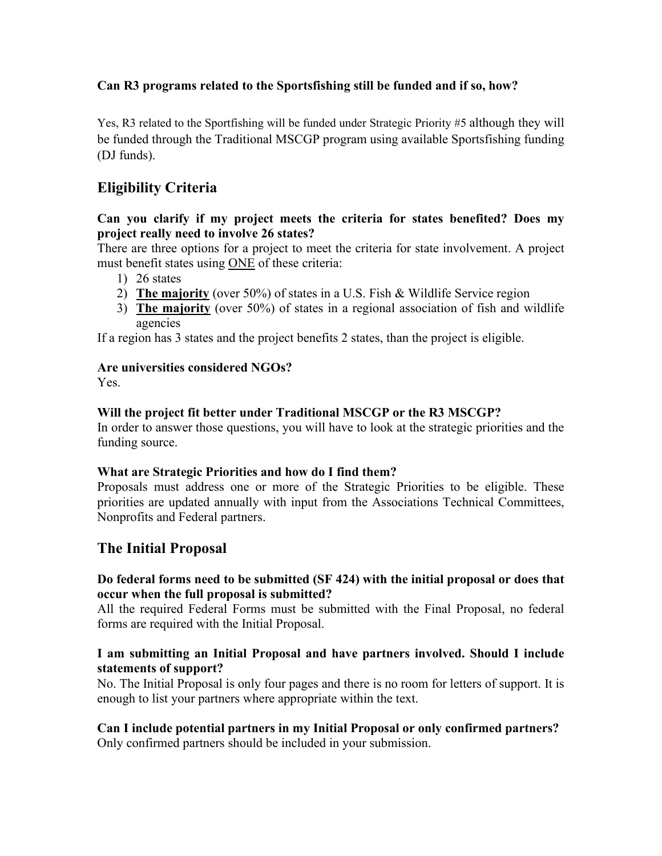# **Can R3 programs related to the Sportsfishing still be funded and if so, how?**

Yes, R3 related to the Sportfishing will be funded under Strategic Priority #5 although they will be funded through the Traditional MSCGP program using available Sportsfishing funding (DJ funds).

# **Eligibility Criteria**

#### **Can you clarify if my project meets the criteria for states benefited? Does my project really need to involve 26 states?**

There are three options for a project to meet the criteria for state involvement. A project must benefit states using ONE of these criteria:

- 1) 26 states
- 2) **The majority** (over 50%) of states in a U.S. Fish & Wildlife Service region
- 3) **The majority** (over 50%) of states in a regional association of fish and wildlife agencies

If a region has 3 states and the project benefits 2 states, than the project is eligible.

#### **Are universities considered NGOs?**

Yes.

## **Will the project fit better under Traditional MSCGP or the R3 MSCGP?**

In order to answer those questions, you will have to look at the strategic priorities and the funding source.

#### **What are Strategic Priorities and how do I find them?**

Proposals must address one or more of the Strategic Priorities to be eligible. These priorities are updated annually with input from the Associations Technical Committees, Nonprofits and Federal partners.

# **The Initial Proposal**

#### **Do federal forms need to be submitted (SF 424) with the initial proposal or does that occur when the full proposal is submitted?**

All the required Federal Forms must be submitted with the Final Proposal, no federal forms are required with the Initial Proposal.

#### **I am submitting an Initial Proposal and have partners involved. Should I include statements of support?**

No. The Initial Proposal is only four pages and there is no room for letters of support. It is enough to list your partners where appropriate within the text.

#### **Can I include potential partners in my Initial Proposal or only confirmed partners?** Only confirmed partners should be included in your submission.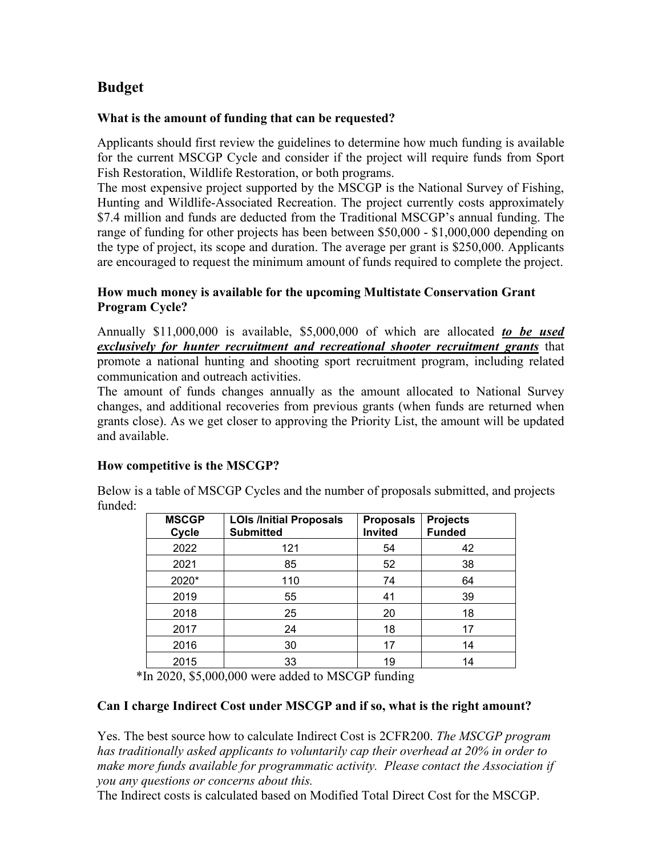# **Budget**

### **What is the amount of funding that can be requested?**

Applicants should first review the guidelines to determine how much funding is available for the current MSCGP Cycle and consider if the project will require funds from Sport Fish Restoration, Wildlife Restoration, or both programs.

The most expensive project supported by the MSCGP is the National Survey of Fishing, Hunting and Wildlife-Associated Recreation. The project currently costs approximately \$7.4 million and funds are deducted from the Traditional MSCGP's annual funding. The range of funding for other projects has been between \$50,000 - \$1,000,000 depending on the type of project, its scope and duration. The average per grant is \$250,000. Applicants are encouraged to request the minimum amount of funds required to complete the project.

### **How much money is available for the upcoming Multistate Conservation Grant Program Cycle?**

Annually \$11,000,000 is available, \$5,000,000 of which are allocated *to be used exclusively for hunter recruitment and recreational shooter recruitment grants* that promote a national hunting and shooting sport recruitment program, including related communication and outreach activities.

The amount of funds changes annually as the amount allocated to National Survey changes, and additional recoveries from previous grants (when funds are returned when grants close). As we get closer to approving the Priority List, the amount will be updated and available.

## **How competitive is the MSCGP?**

Below is a table of MSCGP Cycles and the number of proposals submitted, and projects funded:

| <b>MSCGP</b><br>Cycle | <b>LOIs /Initial Proposals</b><br><b>Submitted</b> | <b>Proposals</b><br><b>Invited</b> | <b>Projects</b><br><b>Funded</b> |
|-----------------------|----------------------------------------------------|------------------------------------|----------------------------------|
| 2022                  | 121                                                | 54                                 | 42                               |
| 2021                  | 85                                                 | 52                                 | 38                               |
| 2020*                 | 110                                                | 74                                 | 64                               |
| 2019                  | 55                                                 | 41                                 | 39                               |
| 2018                  | 25                                                 | 20                                 | 18                               |
| 2017                  | 24                                                 | 18                                 | 17                               |
| 2016                  | 30                                                 | 17                                 | 14                               |
| 2015                  | 33                                                 | 19                                 | 14                               |

\*In 2020, \$5,000,000 were added to MSCGP funding

## **Can I charge Indirect Cost under MSCGP and if so, what is the right amount?**

Yes. The best source how to calculate Indirect Cost is 2CFR200. *The MSCGP program has traditionally asked applicants to voluntarily cap their overhead at 20% in order to make more funds available for programmatic activity. Please contact the Association if you any questions or concerns about this.*

The Indirect costs is calculated based on Modified Total Direct Cost for the MSCGP.